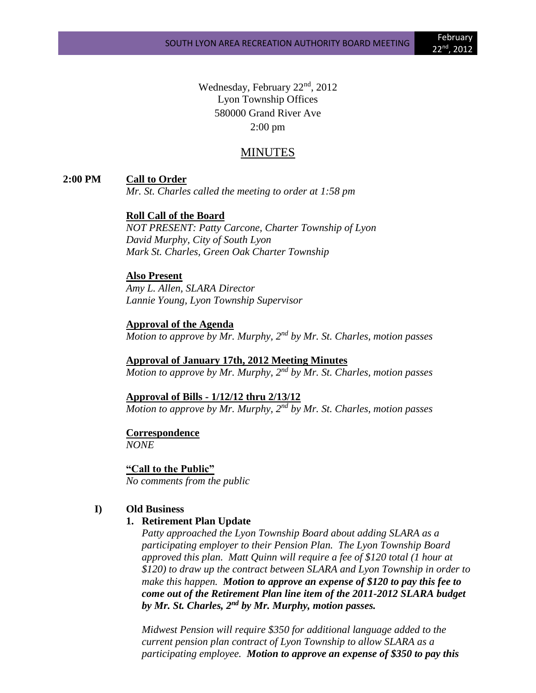Wednesday, February 22<sup>nd</sup>, 2012 Lyon Township Offices 580000 Grand River Ave 2:00 pm

# MINUTES

# **2:00 PM Call to Order**

*Mr. St. Charles called the meeting to order at 1:58 pm*

## **Roll Call of the Board**

*NOT PRESENT: Patty Carcone, Charter Township of Lyon David Murphy, City of South Lyon Mark St. Charles, Green Oak Charter Township*

#### **Also Present**

*Amy L. Allen, SLARA Director Lannie Young, Lyon Township Supervisor*

#### **Approval of the Agenda**

*Motion to approve by Mr. Murphy, 2nd by Mr. St. Charles, motion passes*

# **Approval of January 17th, 2012 Meeting Minutes**

*Motion to approve by Mr. Murphy, 2nd by Mr. St. Charles, motion passes*

# **Approval of Bills - 1/12/12 thru 2/13/12**

*Motion to approve by Mr. Murphy, 2nd by Mr. St. Charles, motion passes*

# **Correspondence**

*NONE*

#### **"Call to the Public"**

*No comments from the public*

#### **I) Old Business**

#### **1. Retirement Plan Update**

*Patty approached the Lyon Township Board about adding SLARA as a participating employer to their Pension Plan. The Lyon Township Board approved this plan. Matt Quinn will require a fee of \$120 total (1 hour at \$120) to draw up the contract between SLARA and Lyon Township in order to make this happen. Motion to approve an expense of \$120 to pay this fee to come out of the Retirement Plan line item of the 2011-2012 SLARA budget by Mr. St. Charles, 2nd by Mr. Murphy, motion passes.* 

*Midwest Pension will require \$350 for additional language added to the current pension plan contract of Lyon Township to allow SLARA as a participating employee. Motion to approve an expense of \$350 to pay this*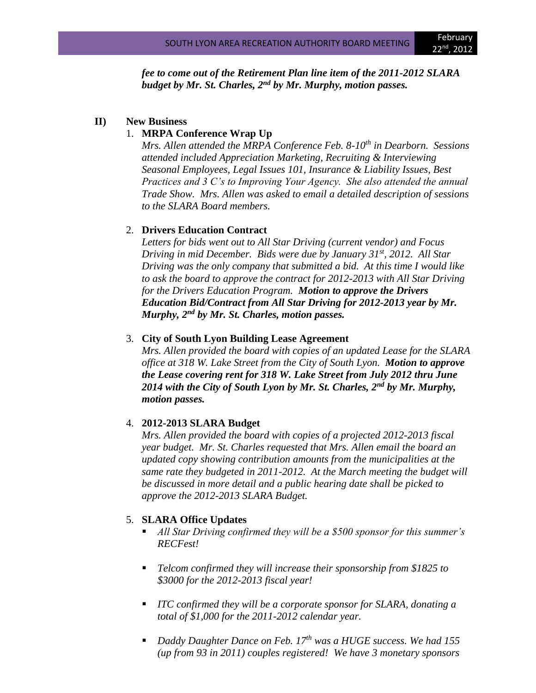*fee to come out of the Retirement Plan line item of the 2011-2012 SLARA budget by Mr. St. Charles, 2nd by Mr. Murphy, motion passes.* 

#### **II) New Business**

# 1. **MRPA Conference Wrap Up**

*Mrs. Allen attended the MRPA Conference Feb. 8-10th in Dearborn. Sessions attended included Appreciation Marketing, Recruiting & Interviewing Seasonal Employees, Legal Issues 101, Insurance & Liability Issues, Best Practices and 3 C's to Improving Your Agency. She also attended the annual Trade Show. Mrs. Allen was asked to email a detailed description of sessions to the SLARA Board members.*

#### 2. **Drivers Education Contract**

*Letters for bids went out to All Star Driving (current vendor) and Focus Driving in mid December. Bids were due by January 31st, 2012. All Star Driving was the only company that submitted a bid. At this time I would like to ask the board to approve the contract for 2012-2013 with All Star Driving for the Drivers Education Program. Motion to approve the Drivers Education Bid/Contract from All Star Driving for 2012-2013 year by Mr. Murphy, 2nd by Mr. St. Charles, motion passes.*

#### 3. **City of South Lyon Building Lease Agreement**

*Mrs. Allen provided the board with copies of an updated Lease for the SLARA office at 318 W. Lake Street from the City of South Lyon. Motion to approve the Lease covering rent for 318 W. Lake Street from July 2012 thru June 2014 with the City of South Lyon by Mr. St. Charles, 2nd by Mr. Murphy, motion passes.*

## 4. **2012-2013 SLARA Budget**

*Mrs. Allen provided the board with copies of a projected 2012-2013 fiscal year budget. Mr. St. Charles requested that Mrs. Allen email the board an updated copy showing contribution amounts from the municipalities at the same rate they budgeted in 2011-2012. At the March meeting the budget will be discussed in more detail and a public hearing date shall be picked to approve the 2012-2013 SLARA Budget.*

#### 5. **SLARA Office Updates**

- *All Star Driving confirmed they will be a \$500 sponsor for this summer's RECFest!*
- *Telcom confirmed they will increase their sponsorship from \$1825 to \$3000 for the 2012-2013 fiscal year!*
- *ITC confirmed they will be a corporate sponsor for SLARA, donating a total of \$1,000 for the 2011-2012 calendar year.*
- *Daddy Daughter Dance on Feb. 17th was a HUGE success. We had 155 (up from 93 in 2011) couples registered! We have 3 monetary sponsors*